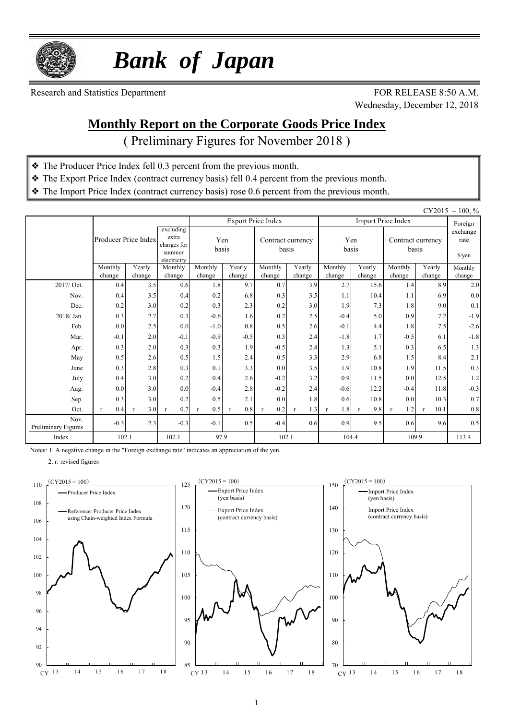

 *Bank of Japan*

Research and Statistics Department FOR RELEASE 8:50 A.M.

Wednesday, December 12, 2018

### **Monthly Report on the Corporate Goods Price Index**

( Preliminary Figures for November 2018 )

- ❖ The Producer Price Index fell 0.3 percent from the previous month.
- ❖ The Export Price Index (contract currency basis) fell 0.4 percent from the previous month.
- ❖ The Import Price Index (contract currency basis) rose 0.6 percent from the previous month.

|                             |                      |                  |                                                            |                     |                     |                            |                     |                     |                  |                            |                      | $CY2015 = 100, \%$                  |
|-----------------------------|----------------------|------------------|------------------------------------------------------------|---------------------|---------------------|----------------------------|---------------------|---------------------|------------------|----------------------------|----------------------|-------------------------------------|
|                             |                      |                  |                                                            |                     |                     | <b>Export Price Index</b>  |                     |                     |                  | <b>Import Price Index</b>  |                      | Foreign                             |
|                             | Producer Price Index |                  | excluding<br>extra<br>charges for<br>summer<br>electricity | Yen<br>basis        |                     | Contract currency<br>basis |                     | Yen<br>basis        |                  | Contract currency<br>basis |                      | exchange<br>rate<br>$\sqrt{\gamma}$ |
|                             | Monthly<br>change    | Yearly<br>change | Monthly<br>change                                          | Monthly<br>change   | Yearly<br>change    | Monthly<br>change          | Yearly<br>change    | Monthly<br>change   | Yearly<br>change | Monthly<br>change          | Yearly<br>change     | Monthly<br>change                   |
| 2017/ Oct.                  | 0.4                  | 3.5              | 0.6                                                        | 1.8                 | 9.7                 | 0.7                        | 3.9                 | 2.7                 | 15.6             | 1.4                        | 8.9                  | $2.0\,$                             |
| Nov.                        | 0.4                  | 3.5              | 0.4                                                        | 0.2                 | 6.8                 | 0.3                        | 3.5                 | 1.1                 | 10.4             | 1.1                        | 6.9                  | $0.0\,$                             |
| Dec.                        | 0.2                  | 3.0              | 0.2                                                        | 0.3                 | 2.3                 | 0.2                        | 3.0                 | 1.9                 | 7.3              | 1.8                        | 9.0                  | 0.1                                 |
| 2018/Jan.                   | 0.3                  | 2.7              | 0.3                                                        | $-0.6$              | 1.6                 | 0.2                        | 2.5                 | $-0.4$              | 5.0              | 0.9                        | 7.2                  | $-1.9$                              |
| Feb.                        | 0.0                  | 2.5              | 0.0                                                        | $-1.0$              | 0.8                 | 0.5                        | 2.6                 | $-0.1$              | 4.4              | 1.8                        | 7.5                  | $-2.6$                              |
| Mar.                        | $-0.1$               | 2.0              | $-0.1$                                                     | $-0.9$              | $-0.5$              | 0.3                        | 2.4                 | $-1.8$              | 1.7              | $-0.5$                     | 6.1                  | $-1.8$                              |
| Apr.                        | 0.3                  | 2.0              | 0.3                                                        | 0.3                 | 1.9                 | $-0.5$                     | 2.4                 | 1.3                 | 5.1              | 0.3                        | 6.5                  | 1.3                                 |
| May                         | 0.5                  | 2.6              | 0.5                                                        | 1.5                 | 2.4                 | 0.5                        | 3.3                 | 2.9                 | 6.8              | 1.5                        | 8.4                  | 2.1                                 |
| June                        | 0.3                  | 2.8              | 0.3                                                        | 0.1                 | 3.3                 | 0.0                        | 3.5                 | 1.9                 | 10.8             | 1.9                        | 11.5                 | 0.3                                 |
| July                        | 0.4                  | 3.0              | 0.2                                                        | 0.4                 | 2.6                 | $-0.2$                     | 3.2                 | 0.9                 | 11.5             | 0.0                        | 12.5                 | 1.2                                 |
| Aug.                        | 0.0                  | 3.0              | 0.0                                                        | $-0.4$              | 2.8                 | $-0.2$                     | 2.4                 | $-0.6$              | 12.2             | $-0.4$                     | 11.8                 | $-0.3$                              |
| Sep.                        | 0.3                  | 3.0              | 0.2                                                        | 0.5                 | 2.1                 | 0.0                        | 1.8                 | 0.6                 | 10.8             | 0.0                        | 10.3                 | 0.7                                 |
| Oct.                        | 0.4<br>$\mathbf{r}$  | 3.0<br>r         | 0.7<br>$\mathbf{r}$                                        | 0.5<br>$\mathbf{r}$ | 0.8<br>$\mathbf{r}$ | 0.2<br>$\mathbf{r}$        | 1.3<br>$\mathbf{r}$ | 1.8<br>$\mathbf{r}$ | 9.8<br>r         | 1.2<br>$\mathbf{r}$        | 10.1<br>$\mathbf{r}$ | $0.8\,$                             |
| Nov.<br>Preliminary Figures | $-0.3$               | 2.3              | $-0.3$                                                     | $-0.1$              | 0.5                 | $-0.4$                     | 0.6                 | 0.9                 | 9.5              | 0.6                        | 9.6                  | 0.5                                 |
| Index                       | 102.1                |                  | 102.1                                                      | 97.9                |                     | 102.1                      |                     | 104.4               |                  | 109.9                      |                      | 113.4                               |

Notes: 1. A negative change in the "Foreign exchange rate" indicates an appreciation of the yen.

2. r: revised figures





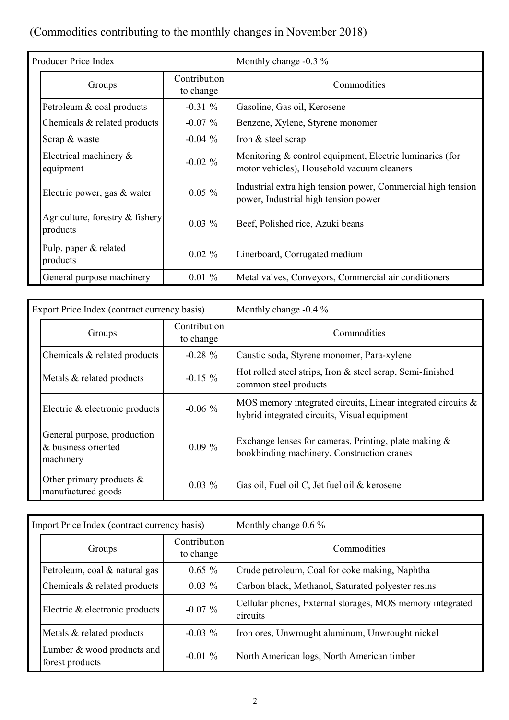# (Commodities contributing to the monthly changes in November 2018)

| Producer Price Index                        |                           | Monthly change $-0.3 \%$                                                                               |
|---------------------------------------------|---------------------------|--------------------------------------------------------------------------------------------------------|
| Groups                                      | Contribution<br>to change | Commodities                                                                                            |
| Petroleum & coal products                   | $-0.31\%$                 | Gasoline, Gas oil, Kerosene                                                                            |
| Chemicals $\&$ related products             | $-0.07\%$                 | Benzene, Xylene, Styrene monomer                                                                       |
| Scrap & waste                               | $-0.04\%$                 | Iron & steel scrap                                                                                     |
| Electrical machinery $\&$<br>equipment      | $-0.02 \%$                | Monitoring & control equipment, Electric luminaries (for<br>motor vehicles), Household vacuum cleaners |
| Electric power, gas & water                 | $0.05 \%$                 | Industrial extra high tension power, Commercial high tension<br>power, Industrial high tension power   |
| Agriculture, forestry & fishery<br>products | $0.03\%$                  | Beef, Polished rice, Azuki beans                                                                       |
| Pulp, paper & related<br>products           | $0.02 \%$                 | Linerboard, Corrugated medium                                                                          |
| General purpose machinery                   | $0.01 \%$                 | Metal valves, Conveyors, Commercial air conditioners                                                   |

| Export Price Index (contract currency basis)                    |                           | Monthly change $-0.4\%$                                                                                         |  |  |  |  |  |
|-----------------------------------------------------------------|---------------------------|-----------------------------------------------------------------------------------------------------------------|--|--|--|--|--|
| Groups                                                          | Contribution<br>to change | Commodities                                                                                                     |  |  |  |  |  |
| Chemicals & related products                                    | $-0.28 \%$                | Caustic soda, Styrene monomer, Para-xylene                                                                      |  |  |  |  |  |
| Metals & related products                                       | $-0.15 \%$                | Hot rolled steel strips, Iron & steel scrap, Semi-finished<br>common steel products                             |  |  |  |  |  |
| Electric $\&$ electronic products                               | $-0.06\%$                 | MOS memory integrated circuits, Linear integrated circuits $\&$<br>hybrid integrated circuits, Visual equipment |  |  |  |  |  |
| General purpose, production<br>& business oriented<br>machinery | $0.09\%$                  | Exchange lenses for cameras, Printing, plate making $\&$<br>bookbinding machinery, Construction cranes          |  |  |  |  |  |
| Other primary products $\&$<br>manufactured goods               | $0.03\%$                  | Gas oil, Fuel oil C, Jet fuel oil & kerosene                                                                    |  |  |  |  |  |

| Import Price Index (contract currency basis)  |                           | Monthly change $0.6\%$                                                |
|-----------------------------------------------|---------------------------|-----------------------------------------------------------------------|
| Groups                                        | Contribution<br>to change | Commodities                                                           |
| Petroleum, coal & natural gas                 | $0.65 \%$                 | Crude petroleum, Coal for coke making, Naphtha                        |
| Chemicals & related products                  | $0.03\%$                  | Carbon black, Methanol, Saturated polyester resins                    |
| Electric & electronic products                | $-0.07\%$                 | Cellular phones, External storages, MOS memory integrated<br>circuits |
| Metals & related products                     | $-0.03\%$                 | Iron ores, Unwrought aluminum, Unwrought nickel                       |
| Lumber & wood products and<br>forest products | $-0.01\%$                 | North American logs, North American timber                            |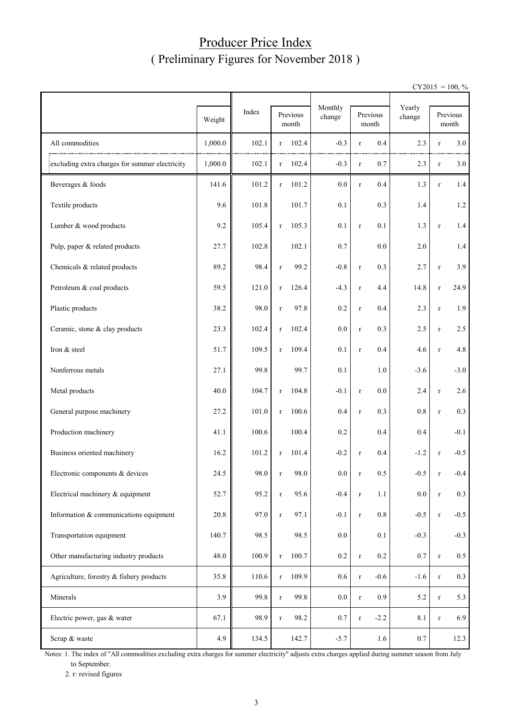#### Producer Price Index ( Preliminary Figures for November 2018 )

 $CY2015 = 100, \%$ 

|                                                | Weight  | Index |              | Previous<br>month | Monthly<br>change |             | Previous<br>month | Yearly<br>change |             | Previous<br>month |
|------------------------------------------------|---------|-------|--------------|-------------------|-------------------|-------------|-------------------|------------------|-------------|-------------------|
| All commodities                                | 1,000.0 | 102.1 | r            | 102.4             | $-0.3$            | $\mathbf r$ | 0.4               | 2.3              | $\mathbf r$ | 3.0               |
| excluding extra charges for summer electricity | 1,000.0 | 102.1 | $\mathbf{r}$ | 102.4             | $-0.3$            | $\mathbf r$ | 0.7               | 2.3              | $\mathbf r$ | 3.0               |
| Beverages & foods                              | 141.6   | 101.2 | $\mathbf{r}$ | 101.2             | $0.0\,$           | $\mathbf r$ | 0.4               | 1.3              | $\mathbf r$ | 1.4               |
| Textile products                               | 9.6     | 101.8 |              | 101.7             | 0.1               |             | 0.3               | 1.4              |             | 1.2               |
| Lumber & wood products                         | 9.2     | 105.4 | $\mathbf r$  | 105.3             | 0.1               | $\mathbf r$ | 0.1               | 1.3              | $\mathbf r$ | 1.4               |
| Pulp, paper & related products                 | 27.7    | 102.8 |              | 102.1             | 0.7               |             | 0.0               | 2.0              |             | 1.4               |
| Chemicals & related products                   | 89.2    | 98.4  | $\mathbf r$  | 99.2              | $-0.8$            | $\mathbf r$ | 0.3               | 2.7              | $\mathbf r$ | 3.9               |
| Petroleum & coal products                      | 59.5    | 121.0 | $\mathbf r$  | 126.4             | $-4.3$            | $\mathbf r$ | 4.4               | 14.8             | $\mathbf r$ | 24.9              |
| Plastic products                               | 38.2    | 98.0  | $\mathbf r$  | 97.8              | 0.2               | $\mathbf r$ | 0.4               | 2.3              | $\mathbf r$ | 1.9               |
| Ceramic, stone & clay products                 | 23.3    | 102.4 | $\mathbf{r}$ | 102.4             | 0.0               | $\mathbf r$ | 0.3               | 2.5              | $\mathbf r$ | 2.5               |
| Iron & steel                                   | 51.7    | 109.5 | $\mathbf r$  | 109.4             | 0.1               | $\mathbf r$ | 0.4               | 4.6              | $\mathbf r$ | 4.8               |
| Nonferrous metals                              | 27.1    | 99.8  |              | 99.7              | 0.1               |             | 1.0               | $-3.6$           |             | $-3.0$            |
| Metal products                                 | 40.0    | 104.7 | $\mathbf r$  | 104.8             | $-0.1$            | $\mathbf r$ | 0.0               | 2.4              | $\mathbf r$ | 2.6               |
| General purpose machinery                      | 27.2    | 101.0 | $\mathbf r$  | 100.6             | 0.4               | $\mathbf r$ | 0.3               | $0.8\,$          | $\mathbf r$ | 0.3               |
| Production machinery                           | 41.1    | 100.6 |              | 100.4             | 0.2               |             | 0.4               | 0.4              |             | $-0.1$            |
| Business oriented machinery                    | 16.2    | 101.2 | $\mathbf{r}$ | 101.4             | $-0.2$            | $\mathbf r$ | 0.4               | $-1.2$           | $\mathbf r$ | $-0.5$            |
| Electronic components & devices                | 24.5    | 98.0  |              | 98.0              | $0.0\,$           | r           | 0.5               | $-0.5$           |             | $-0.4$            |
| Electrical machinery & equipment               | 52.7    | 95.2  | $\mathbf r$  | 95.6              | $-0.4$            | $\mathbf r$ | 1.1               | 0.0              | $\mathbf r$ | 0.3               |
| Information & communications equipment         | 20.8    | 97.0  | $\mathbf r$  | 97.1              | $-0.1$            | $\mathbf r$ | $0.8\,$           | $-0.5$           | $\mathbf r$ | $-0.5$            |
| Transportation equipment                       | 140.7   | 98.5  |              | 98.5              | $0.0\,$           |             | 0.1               | $-0.3$           |             | $-0.3$            |
| Other manufacturing industry products          | 48.0    | 100.9 | $\mathbf r$  | 100.7             | 0.2               | $\mathbf r$ | $0.2\,$           | 0.7              | $\mathbf r$ | $0.5\,$           |
| Agriculture, forestry & fishery products       | 35.8    | 110.6 | $\mathbf r$  | 109.9             | 0.6               | $\mathbf r$ | $-0.6$            | $-1.6$           | $\mathbf r$ | 0.3               |
| Minerals                                       | 3.9     | 99.8  | $\mathbf r$  | 99.8              | $0.0\,$           | $\mathbf r$ | 0.9               | 5.2              | $\mathbf r$ | 5.3               |
| Electric power, gas & water                    | 67.1    | 98.9  | $\mathbf r$  | 98.2              | 0.7               | $\mathbf r$ | $-2.2$            | 8.1              | $\mathbf r$ | 6.9               |
| Scrap & waste                                  | 4.9     | 134.5 |              | 142.7             | $-5.7$            |             | 1.6               | $0.7\,$          |             | 12.3              |

Notes: 1. The index of "All commodities excluding extra charges for summer electricity" adjusts extra charges applied during summer season from July to September.

2. r: revised figures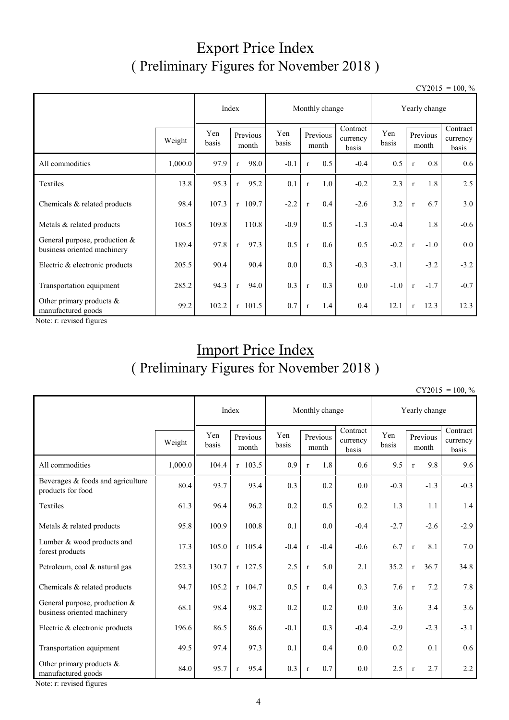## Export Price Index ( Preliminary Figures for November 2018 )

 $CY2015 = 100, \%$ 

|                                                                | Index   |                                   |              | Monthly change |                   |              |                               | Yearly change |                   |              |                               |        |
|----------------------------------------------------------------|---------|-----------------------------------|--------------|----------------|-------------------|--------------|-------------------------------|---------------|-------------------|--------------|-------------------------------|--------|
|                                                                | Weight  | Yen<br>Previous<br>basis<br>month |              | Yen<br>basis   | Previous<br>month |              | Contract<br>currency<br>basis | Yen<br>basis  | Previous<br>month |              | Contract<br>currency<br>basis |        |
| All commodities                                                | 1,000.0 | 97.9                              | $\mathbf{r}$ | 98.0           | $-0.1$            | $\mathbf{r}$ | 0.5                           | $-0.4$        | 0.5               | $\mathbf{r}$ | 0.8                           | 0.6    |
| Textiles                                                       | 13.8    | 95.3                              | $\mathbf{r}$ | 95.2           | 0.1               | $\mathbf{r}$ | 1.0                           | $-0.2$        | 2.3               | $\mathbf{r}$ | 1.8                           | 2.5    |
| Chemicals & related products                                   | 98.4    | 107.3                             |              | $r$ 109.7      | $-2.2$            | $\mathbf{r}$ | 0.4                           | $-2.6$        | 3.2               | $\mathbf{r}$ | 6.7                           | 3.0    |
| Metals & related products                                      | 108.5   | 109.8                             |              | 110.8          | $-0.9$            |              | 0.5                           | $-1.3$        | $-0.4$            |              | 1.8                           | $-0.6$ |
| General purpose, production $&$<br>business oriented machinery | 189.4   | 97.8                              | $\mathbf{r}$ | 97.3           | 0.5               | $\mathbf{r}$ | 0.6                           | 0.5           | $-0.2$            | $\mathbf{r}$ | $-1.0$                        | 0.0    |
| Electric & electronic products                                 | 205.5   | 90.4                              |              | 90.4           | 0.0               |              | 0.3                           | $-0.3$        | $-3.1$            |              | $-3.2$                        | $-3.2$ |
| Transportation equipment                                       | 285.2   | 94.3                              | $\mathbf{r}$ | 94.0           | 0.3               | $\mathbf{r}$ | 0.3                           | $0.0\,$       | $-1.0$            | $\mathbf{r}$ | $-1.7$                        | $-0.7$ |
| Other primary products &<br>manufactured goods                 | 99.2    | 102.2                             |              | $r$ 101.5      | 0.7               | $\mathbf{r}$ | 1.4                           | 0.4           | 12.1              | $\mathbf{r}$ | 12.3                          | 12.3   |

Note: r: revised figures

# Import Price Index ( Preliminary Figures for November 2018 )

 $CY2015 = 100, \%$ 

|                                                                |         | Index        |                      | Monthly change |                        | Yearly change                 |              |                      |                               |
|----------------------------------------------------------------|---------|--------------|----------------------|----------------|------------------------|-------------------------------|--------------|----------------------|-------------------------------|
|                                                                | Weight  | Yen<br>basis | Previous<br>month    | Yen<br>basis   | Previous<br>month      | Contract<br>currency<br>basis | Yen<br>basis | Previous<br>month    | Contract<br>currency<br>basis |
| All commodities                                                | 1,000.0 | 104.4        | $r$ 103.5            | 0.9            | 1.8<br>$\mathbf{r}$    | 0.6                           | 9.5          | 9.8<br>$\mathbf{r}$  | 9.6                           |
| Beverages & foods and agriculture<br>products for food         | 80.4    | 93.7         | 93.4                 | 0.3            | 0.2                    | 0.0                           | $-0.3$       | $-1.3$               | $-0.3$                        |
| Textiles                                                       | 61.3    | 96.4         | 96.2                 | 0.2            | 0.5                    | 0.2                           | 1.3          | 1.1                  | 1.4                           |
| Metals & related products                                      | 95.8    | 100.9        | 100.8                | 0.1            | 0.0                    | $-0.4$                        | $-2.7$       | $-2.6$               | $-2.9$                        |
| Lumber & wood products and<br>forest products                  | 17.3    | 105.0        | $r$ 105.4            | $-0.4$         | $-0.4$<br>$\mathbf{r}$ | $-0.6$                        | 6.7          | 8.1<br>$\mathbf{r}$  | 7.0                           |
| Petroleum, coal & natural gas                                  | 252.3   | 130.7        | $r$ 127.5            | 2.5            | 5.0<br>$\mathbf{r}$    | 2.1                           | 35.2         | 36.7<br>$\mathbf{r}$ | 34.8                          |
| Chemicals & related products                                   | 94.7    | 105.2        | $r$ 104.7            | 0.5            | 0.4<br>$\mathbf{r}$    | 0.3                           | 7.6          | 7.2<br>$\mathbf{r}$  | 7.8                           |
| General purpose, production $&$<br>business oriented machinery | 68.1    | 98.4         | 98.2                 | 0.2            | 0.2                    | 0.0                           | 3.6          | 3.4                  | 3.6                           |
| Electric & electronic products                                 | 196.6   | 86.5         | 86.6                 | $-0.1$         | 0.3                    | $-0.4$                        | $-2.9$       | $-2.3$               | $-3.1$                        |
| Transportation equipment                                       | 49.5    | 97.4         | 97.3                 | 0.1            | 0.4                    | 0.0                           | 0.2          | 0.1                  | 0.6                           |
| Other primary products &<br>manufactured goods                 | 84.0    | 95.7         | 95.4<br>$\mathbf{r}$ | 0.3            | 0.7<br>$\mathbf{r}$    | $0.0\,$                       | 2.5          | 2.7<br>$\mathbf{r}$  | 2.2                           |

Note: r: revised figures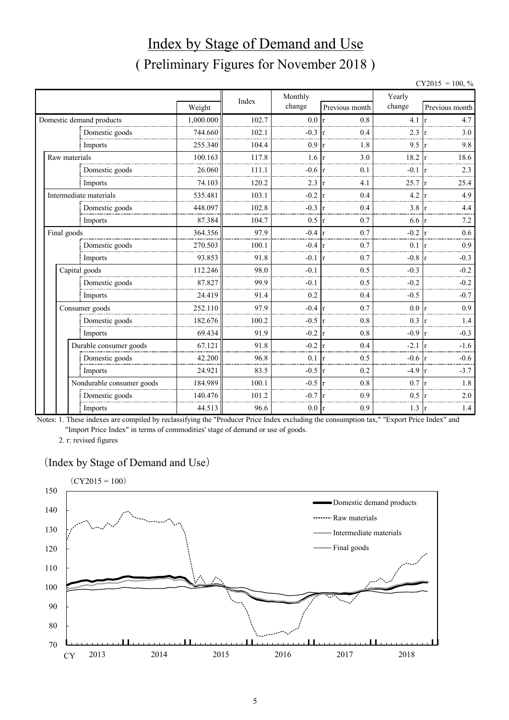# Index by Stage of Demand and Use ( Preliminary Figures for November 2018 )

|             |                           |           |       |                   |                     |                  | $CY2015 = 100, \%$   |  |
|-------------|---------------------------|-----------|-------|-------------------|---------------------|------------------|----------------------|--|
|             |                           |           | Index | Monthly           |                     | Yearly           |                      |  |
|             |                           | Weight    |       | change            | Previous month      | change           | Previous month       |  |
|             | Domestic demand products  | 1,000.000 | 102.7 | 0.0 r             | 0.8                 | $4.1 \text{ r}$  | 4.7                  |  |
|             | Domestic goods            | 744.660   | 102.1 | $-0.3$ r          | 0.4                 | 2.3              | 3.0                  |  |
|             | Imports                   | 255.340   | 104.4 | 0.9               | 1.8<br>Ir           | 9.5              | 9.8<br>r             |  |
|             | Raw materials             | 100.163   | 117.8 | $1.6 \text{ r}$   | 3.0                 | 18.2             | 18.6<br>$\mathbf{r}$ |  |
|             | Domestic goods            | 26.060    | 111.1 | $-0.6$ r          | 0.1                 | $-0.1$ r         | 2.3                  |  |
|             | Imports                   | 74.103    | 120.2 | 2.3               | 4.1<br>Ir           | 25.7             | 25.4<br>r            |  |
|             | Intermediate materials    | 535.481   | 103.1 | $-0.2$ r          | 0.4                 | $4.2 \vert r$    | 4.9                  |  |
|             | Domestic goods            | 448.097   | 102.8 | $-0.3$            | 0.4                 | 3.8              | 4.4                  |  |
|             | Imports                   | 87.384    | 104.7 | 0.5               | 0.7<br>lr.          | $6.6 \text{ r}$  | 7.2                  |  |
| Final goods |                           | 364.356   | 97.9  | $-0.4 \text{ r}$  | 0.7                 | $-0.2 \text{ r}$ | 0.6                  |  |
|             | Domestic goods            | 270.503   | 100.1 | $-0.4 \text{ r}$  | 0.7                 | 0.1              | 0.9                  |  |
|             | Imports                   | 93.853    | 91.8  | $-0.1$            | 0.7<br>$\mathsf{r}$ | $-0.8$ r         | $-0.3$               |  |
|             | Capital goods             | 112.246   | 98.0  | $-0.1$            | 0.5                 | $-0.3$           | $-0.2$               |  |
|             | Domestic goods            | 87.827    | 99.9  | $-0.1$            | 0.5                 | $-0.2$           | $-0.2$               |  |
|             | Imports                   | 24.419    | 91.4  | 0.2               | 0.4                 | $-0.5$           | $-0.7$               |  |
|             | Consumer goods            | 252.110   | 97.9  | $-0.4 \text{ r}$  | 0.7                 | 0.0              | 0.9                  |  |
|             | Domestic goods            | 182.676   | 100.2 | $-0.5 \text{ r}$  | 0.8                 | $0.3 \text{ r}$  | 1.4                  |  |
|             | Imports                   | 69.434    | 91.9  | $-0.2 \text{ r}$  | 0.8                 | $-0.9$           | $-0.3$<br>r          |  |
|             | Durable consumer goods    | 67.121    | 91.8  | $-0.2$            | 0.4<br>Ir           | $-2.1$           | $-1.6$               |  |
|             | Domestic goods            | 42.200    | 96.8  | 0.1               | 0.5<br>r            | $-0.6$           | $-0.6$               |  |
|             | Imports                   | 24.921    | 83.5  | $-0.5 \vert r$    | 0.2                 | $-4.9 \text{ r}$ | $-3.7$               |  |
|             | Nondurable consumer goods | 184.989   | 100.1 | $-0.5 \text{ tr}$ | 0.8                 | 0.7              | 1.8<br>l r           |  |
|             | Domestic goods            | 140.476   | 101.2 | $-0.7$            | 0.9                 | 0.5              | 2.0                  |  |
|             | Imports                   | 44.513    | 96.6  | $0.0 \text{ r}$   | 0.9                 | $1.3 \vert r$    | 1.4                  |  |

Notes: 1. These indexes are compiled by reclassifying the "Producer Price Index excluding the consumption tax," "Export Price Index" and "Import Price Index" in terms of commodities' stage of demand or use of goods.

2. r: revised figures

#### (Index by Stage of Demand and Use)

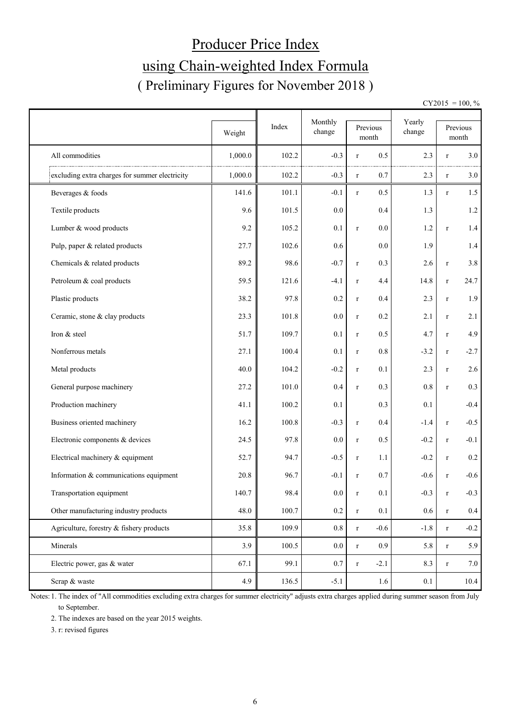# Producer Price Index using Chain-weighted Index Formula ( Preliminary Figures for November 2018 )

 $CY2015 = 100, \%$ 

|                                                | Weight  | Index | Monthly<br>change |             | Previous<br>month | Yearly<br>change |              | Previous<br>month |
|------------------------------------------------|---------|-------|-------------------|-------------|-------------------|------------------|--------------|-------------------|
| All commodities                                | 1,000.0 | 102.2 | $-0.3$            | $\mathbf r$ | 0.5               | 2.3              | $\mathbf r$  | 3.0               |
| excluding extra charges for summer electricity | 1,000.0 | 102.2 | $-0.3$            | $\mathbf r$ | 0.7               | 2.3              | $\mathbf r$  | 3.0               |
| Beverages & foods                              | 141.6   | 101.1 | $-0.1$            | $\mathbf r$ | 0.5               | 1.3              | $r_{\rm}$    | 1.5               |
| Textile products                               | 9.6     | 101.5 | 0.0               |             | 0.4               | 1.3              |              | 1.2               |
| Lumber & wood products                         | 9.2     | 105.2 | 0.1               | $\mathbf r$ | 0.0               | 1.2              | $\mathbf r$  | 1.4               |
| Pulp, paper & related products                 | 27.7    | 102.6 | 0.6               |             | 0.0               | 1.9              |              | 1.4               |
| Chemicals & related products                   | 89.2    | 98.6  | $-0.7$            | $\mathbf r$ | 0.3               | 2.6              | $\mathbf r$  | 3.8               |
| Petroleum & coal products                      | 59.5    | 121.6 | $-4.1$            | $\mathbf r$ | 4.4               | 14.8             | $\mathbf r$  | 24.7              |
| Plastic products                               | 38.2    | 97.8  | $0.2\,$           | $\mathbf r$ | 0.4               | 2.3              | $\mathbf r$  | 1.9               |
| Ceramic, stone & clay products                 | 23.3    | 101.8 | 0.0               | $\mathbf r$ | 0.2               | 2.1              | $\mathbf r$  | 2.1               |
| Iron & steel                                   | 51.7    | 109.7 | 0.1               | $\mathbf r$ | 0.5               | 4.7              | $\mathbf r$  | 4.9               |
| Nonferrous metals                              | 27.1    | 100.4 | 0.1               | $\mathbf r$ | 0.8               | $-3.2$           | $\mathbf r$  | $-2.7$            |
| Metal products                                 | 40.0    | 104.2 | $-0.2$            | $\mathbf r$ | 0.1               | 2.3              | $\mathbf{r}$ | 2.6               |
| General purpose machinery                      | 27.2    | 101.0 | 0.4               | $\mathbf r$ | 0.3               | $0.8\,$          | $\mathbf r$  | 0.3               |
| Production machinery                           | 41.1    | 100.2 | 0.1               |             | 0.3               | 0.1              |              | $-0.4$            |
| Business oriented machinery                    | 16.2    | 100.8 | $-0.3$            | $\mathbf r$ | 0.4               | $-1.4$           | $\mathbf r$  | $-0.5$            |
| Electronic components & devices                | 24.5    | 97.8  | 0.0               | $\mathbf r$ | 0.5               | $-0.2$           | $\mathbf r$  | $-0.1$            |
| Electrical machinery & equipment               | 52.7    | 94.7  | $-0.5$            | $\mathbf r$ | 1.1               | $-0.2$           | $\mathbf r$  | $0.2\,$           |
| Information & communications equipment         | 20.8    | 96.7  | $-0.1$            | $\mathbf r$ | 0.7               | $-0.6$           | $\mathbf{r}$ | $-0.6$            |
| Transportation equipment                       | 140.7   | 98.4  | $0.0\,$           | $\mathbf r$ | 0.1               | $-0.3$           | $\mathbf r$  | $-0.3$            |
| Other manufacturing industry products          | 48.0    | 100.7 | 0.2               | $\mathbf r$ | 0.1               | 0.6              | $\mathbf r$  | $0.4\,$           |
| Agriculture, forestry & fishery products       | 35.8    | 109.9 | 0.8               | $\mathbf r$ | $-0.6$            | $-1.8$           | $\mathbf r$  | $-0.2$            |
| Minerals                                       | 3.9     | 100.5 | $0.0\,$           | $\mathbf r$ | 0.9 <sub>0</sub>  | 5.8              | $\mathbf r$  | 5.9               |
| Electric power, gas & water                    | 67.1    | 99.1  | 0.7               | $\mathbf r$ | $-2.1$            | 8.3              | $\mathbf r$  | 7.0               |
| Scrap & waste                                  | 4.9     | 136.5 | $-5.1$            |             | 1.6               | $0.1\,$          |              | $10.4$            |

Notes: 1. The index of "All commodities excluding extra charges for summer electricity" adjusts extra charges applied during summer season from July to September.

2. The indexes are based on the year 2015 weights.

3. r: revised figures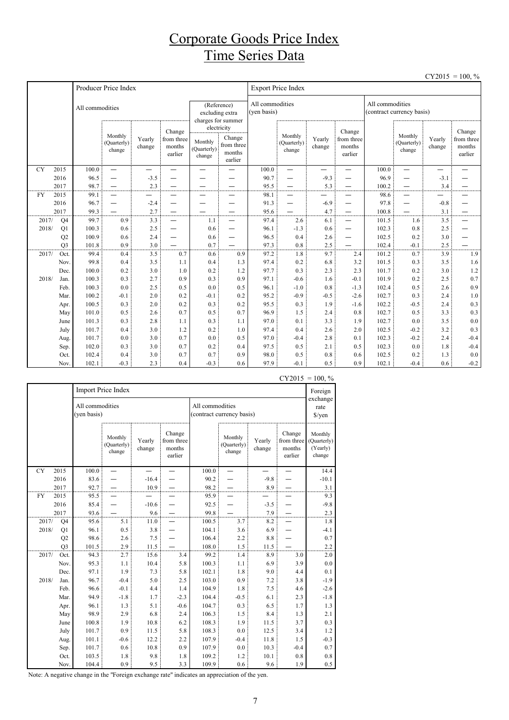## Corporate Goods Price Index Time Series Data

|           |                      |                 |                                  |                  |                                           |                                                                     |                                           |                                |                                   |                  |                                           |                 |                                  |                  | $CY2015 = 100, \%$                        |  |
|-----------|----------------------|-----------------|----------------------------------|------------------|-------------------------------------------|---------------------------------------------------------------------|-------------------------------------------|--------------------------------|-----------------------------------|------------------|-------------------------------------------|-----------------|----------------------------------|------------------|-------------------------------------------|--|
|           |                      |                 | Producer Price Index             |                  |                                           |                                                                     |                                           | <b>Export Price Index</b>      |                                   |                  |                                           |                 |                                  |                  |                                           |  |
|           |                      | All commodities |                                  |                  |                                           | (Reference)<br>excluding extra<br>charges for summer<br>electricity |                                           | All commodities<br>(ven basis) |                                   |                  |                                           | All commodities | (contract currency basis)        |                  |                                           |  |
|           |                      |                 | Monthly<br>(Quarterly)<br>change | Yearly<br>change | Change<br>from three<br>months<br>earlier | Monthly<br>(Quarterly)<br>change                                    | Change<br>from three<br>months<br>earlier |                                | Monthly<br>(Quarterly)<br>change  | Yearly<br>change | Change<br>from three<br>months<br>earlier |                 | Monthly<br>(Quarterly)<br>change | Yearly<br>change | Change<br>from three<br>months<br>earlier |  |
| <b>CY</b> | 2015                 | 100.0           | $\equiv$                         | —                |                                           | $\overline{\phantom{0}}$                                            |                                           | 100.0                          | —                                 | —                | —                                         | 100.0           | $\overline{\phantom{0}}$         | —                |                                           |  |
|           | 2016                 | 96.5            | $\overline{\phantom{0}}$         | $-3.5$           |                                           |                                                                     |                                           | 90.7                           |                                   | $-9.3$           |                                           | 96.9            | —                                | $-3.1$           |                                           |  |
|           | 2017                 | 98.7            | $\qquad \qquad -$                | 2.3              |                                           | —                                                                   | $\overline{\phantom{0}}$                  | 95.5                           | —                                 | 5.3              | $\qquad \qquad$                           | 100.2           | —                                | 3.4              |                                           |  |
| <b>FY</b> | 2015                 | 99.1            | $\overbrace{\phantom{1232211}}$  |                  | —                                         | —                                                                   | $\overline{\phantom{0}}$                  | 98.1                           | —                                 |                  | —                                         | 98.6            | $\overline{\phantom{0}}$         | —<br>—           |                                           |  |
|           | 2016                 | 96.7            | $\overbrace{\phantom{1232211}}$  | $-2.4$           | —                                         |                                                                     | $\overline{\phantom{0}}$                  | 91.3                           | $\overbrace{\phantom{123221111}}$ | $-6.9$           | —                                         | 97.8            | —                                | $-0.8$           |                                           |  |
| 2017/     | 2017                 | 99.3<br>99.7    | 0.9                              | 2.7<br>3.3       | —                                         | 1.1                                                                 | $\overline{\phantom{0}}$<br>$\equiv$      | 95.6<br>97.4                   | $\overline{\phantom{0}}$<br>2.6   | 4.7<br>6.1       |                                           | 100.8<br>101.5  | $\overline{\phantom{0}}$<br>1.6  | 3.1<br>3.5       | —<br>$\overline{\phantom{0}}$             |  |
| 2018/     | Q <sub>4</sub><br>Q1 | 100.3           | 0.6                              | 2.5              | $\overline{\phantom{0}}$                  | 0.6                                                                 | $\overline{\phantom{0}}$                  | 96.1                           | $-1.3$                            | 0.6              | $\overline{\phantom{0}}$                  | 102.3           | 0.8                              | 2.5              |                                           |  |
|           | Q2                   | 100.9           | 0.6                              | 2.4              | —                                         | 0.6                                                                 | $\overline{\phantom{0}}$                  | 96.5                           | 0.4                               | 2.6              | —                                         | 102.5           | 0.2                              | 3.0              |                                           |  |
|           | Q <sub>3</sub>       | 101.8           | 0.9                              | 3.0              |                                           | 0.7                                                                 |                                           | 97.3                           | 0.8                               | 2.5              |                                           | 102.4           | $-0.1$                           | 2.5              |                                           |  |
| 2017/     | Oct.                 | 99.4            | 0.4                              | 3.5              | 0.7                                       | 0.6                                                                 | 0.9                                       | 97.2                           | 1.8                               | 9.7              | 2.4                                       | 101.2           | 0.7                              | 3.9              | 1.9                                       |  |
|           | Nov.                 | 99.8            | 0.4                              | 3.5              | 1.1                                       | 0.4                                                                 | 1.3                                       | 97.4                           | 0.2                               | 6.8              | 3.2                                       | 101.5           | 0.3                              | 3.5              | 1.6                                       |  |
|           | Dec.                 | 100.0           | 0.2                              | 3.0              | 1.0                                       | 0.2                                                                 | 1.2                                       | 97.7                           | 0.3                               | 2.3              | 2.3                                       | 101.7           | 0.2                              | 3.0              | 1.2                                       |  |
| 2018/     | Jan.                 | 100.3           | 0.3                              | 2.7              | 0.9                                       | 0.3                                                                 | 0.9                                       | 97.1                           | $-0.6$                            | 1.6              | $-0.1$                                    | 101.9           | 0.2                              | 2.5              | 0.7                                       |  |
|           | Feb.                 | 100.3           | 0.0                              | 2.5              | 0.5                                       | 0.0                                                                 | 0.5                                       | 96.1                           | $-1.0$                            | 0.8              | $-1.3$                                    | 102.4           | 0.5                              | 2.6              | 0.9                                       |  |
|           | Mar.                 | 100.2           | $-0.1$                           | 2.0              | 0.2                                       | $-0.1$                                                              | 0.2                                       | 95.2                           | $-0.9$                            | $-0.5$           | $-2.6$                                    | 102.7           | 0.3                              | 2.4              | 1.0                                       |  |
|           | Apr.                 | 100.5           | 0.3                              | 2.0              | 0.2                                       | 0.3                                                                 | 0.2                                       | 95.5                           | 0.3                               | 1.9              | $-1.6$                                    | 102.2           | $-0.5$                           | 2.4              | 0.3                                       |  |
|           | May                  | 101.0           | 0.5                              | 2.6              | 0.7                                       | 0.5                                                                 | 0.7                                       | 96.9                           | 1.5                               | 2.4              | 0.8                                       | 102.7           | 0.5                              | 3.3              | 0.3                                       |  |
|           | June                 | 101.3           | 0.3                              | 2.8              | 1.1                                       | 0.3                                                                 | 1.1                                       | 97.0                           | 0.1                               | 3.3              | 1.9                                       | 102.7           | 0.0                              | 3.5              | $0.0\,$                                   |  |
|           | July                 | 101.7           | 0.4                              | 3.0              | 1.2                                       | 0.2                                                                 | 1.0                                       | 97.4                           | 0.4                               | 2.6              | 2.0                                       | 102.5           | $-0.2$                           | 3.2              | 0.3                                       |  |
|           | Aug.                 | 101.7           | 0.0                              | 3.0              | 0.7                                       | 0.0                                                                 | 0.5                                       | 97.0                           | $-0.4$                            | 2.8              | 0.1                                       | 102.3           | $-0.2$                           | 2.4              | $-0.4$                                    |  |
|           | Sep.                 | 102.0           | 0.3                              | 3.0              | 0.7                                       | 0.2                                                                 | 0.4                                       | 97.5                           | 0.5                               | 2.1              | 0.5                                       | 102.3           | 0.0                              | 1.8              | $-0.4$                                    |  |
|           | Oct.                 | 102.4           | 0.4                              | 3.0              | 0.7                                       | 0.7                                                                 | 0.9                                       | 98.0                           | 0.5                               | 0.8              | 0.6                                       | 102.5           | 0.2                              | 1.3              | 0.0                                       |  |
|           | Nov.                 | 102.1           | $-0.3$                           | 2.3              | 0.4                                       | $-0.3$                                                              | 0.6                                       | 97.9                           | $-0.1$                            | 0.5              | 0.9                                       | 102.1           | $-0.4$                           | 0.6              | $-0.2$                                    |  |

|           |                |                                | Import Price Index               |                  |                                           |                 |                                  |                  |                                           | Foreign                                      |
|-----------|----------------|--------------------------------|----------------------------------|------------------|-------------------------------------------|-----------------|----------------------------------|------------------|-------------------------------------------|----------------------------------------------|
|           |                | All commodities<br>(yen basis) |                                  |                  |                                           | All commodities | (contract currency basis)        |                  |                                           | exchange<br>rate<br>\$/yen                   |
|           |                |                                | Monthly<br>(Quarterly)<br>change | Yearly<br>change | Change<br>from three<br>months<br>earlier |                 | Monthly<br>(Quarterly)<br>change | Yearly<br>change | Change<br>from three<br>months<br>earlier | Monthly<br>(Quarterly)<br>(Yearly)<br>change |
| <b>CY</b> | 2015           | 100.0                          |                                  |                  |                                           | 100.0           |                                  |                  |                                           | 14.4                                         |
|           | 2016           | 83.6                           |                                  | $-16.4$          |                                           | 90.2            |                                  | $-9.8$           |                                           | $-10.1$                                      |
|           | 2017           | 92.7                           |                                  | 10.9             |                                           | 98.2            |                                  | 8.9              |                                           | 3.1                                          |
| <b>FY</b> | 2015           | 95.5                           |                                  |                  |                                           | 95.9            |                                  |                  |                                           | 9.3                                          |
|           | 2016           | 85.4                           |                                  | $-10.6$          |                                           | 92.5            |                                  | $-3.5$           |                                           | $-9.8$                                       |
|           | 2017           | 93.6                           |                                  | 9.6              |                                           | 99.8            |                                  | 7.9              |                                           | 2.3                                          |
| 2017/     | Q4             | 95.6                           | 5.1                              | 11.0             |                                           | 100.5           | 3.7                              | 8.2              |                                           | 1.8                                          |
| 2018/     | Q1             | 96.1                           | 0.5                              | 3.8              |                                           | 104.1           | 3.6                              | 6.9              |                                           | $-4.1$                                       |
|           | Q2             | 98.6                           | 2.6                              | 7.5              |                                           | 106.4           | 2.2                              | $8.8\,$          |                                           | 0.7                                          |
|           | Q <sub>3</sub> | 101.5                          | 2.9                              | 11.5             |                                           | 108.0           | 1.5                              | 11.5             |                                           | 2.2                                          |
| 2017/     | Oct.           | 94.3                           | 2.7                              | 15.6             | 3.4                                       | 99.2            | 1.4                              | 8.9              | 3.0                                       | 2.0                                          |
|           | Nov.           | 95.3                           | 1.1                              | 10.4             | 5.8                                       | 100.3           | 1.1                              | 6.9              | 3.9                                       | $0.0\,$                                      |
|           | Dec.           | 97.1                           | 1.9                              | 7.3              | 5.8                                       | 102.1           | 1.8                              | 9.0              | 4.4                                       | 0.1                                          |
| 2018/     | Jan.           | 96.7                           | $-0.4$                           | 5.0              | 2.5                                       | 103.0           | 0.9                              | 7.2              | 3.8                                       | $-1.9$                                       |
|           | Feb.           | 96.6                           | $-0.1$                           | 4.4              | 1.4                                       | 104.9           | 1.8                              | 7.5              | 4.6                                       | $-2.6$                                       |
|           | Mar.           | 94.9                           | $-1.8$                           | 1.7              | $-2.3$                                    | 104.4           | $-0.5$                           | 6.1              | 2.3                                       | $-1.8$                                       |
|           | Apr.           | 96.1                           | 1.3                              | 5.1              | $-0.6$                                    | 104.7           | 0.3                              | 6.5              | 1.7                                       | 1.3                                          |
|           | May            | 98.9                           | 2.9                              | 6.8              | 2.4                                       | 106.3           | 1.5                              | 8.4              | 1.3                                       | 2.1                                          |
|           | June           | 100.8                          | 1.9                              | 10.8             | 6.2                                       | 108.3           | 1.9                              | 11.5             | 3.7                                       | 0.3                                          |
|           | July           | 101.7                          | 0.9                              | 11.5             | 5.8                                       | 108.3           | 0.0                              | 12.5             | 3.4                                       | 1.2                                          |
|           | Aug.           | 101.1                          | $-0.6$                           | 12.2             | 2.2                                       | 107.9           | $-0.4$                           | 11.8             | 1.5                                       | $-0.3$                                       |
|           | Sep.           | 101.7                          | 0.6                              | 10.8             | 0.9                                       | 107.9           | 0.0                              | 10.3             | $-0.4$                                    | 0.7                                          |
|           | Oct.           | 103.5                          | 1.8                              | 9.8              | 1.8                                       | 109.2           | 1.2                              | 10.1             | 0.8                                       | 0.8                                          |
|           | Nov.           | 104.4                          | 0.9                              | 9.5              | 3.3                                       | 109.9           | 0.6                              | 9.6              | 1.9                                       | 0.5                                          |

 $CY2015 = 100, \%$ 

Note: A negative change in the "Foreign exchange rate" indicates an appreciation of the yen.